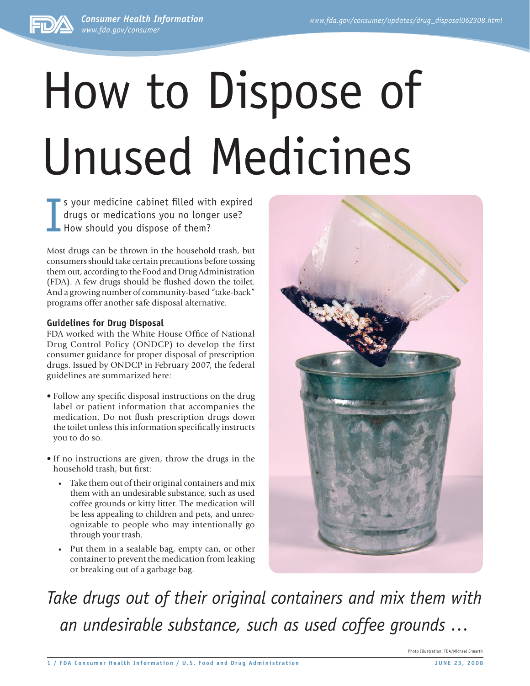*Consumer Health Information www.fda.gov/consumer*



I s your medicine cabinet filled with expired drugs or medications you no longer use? How should you dispose of them?

Most drugs can be thrown in the household trash, but consumers should take certain precautions before tossing them out, according to the Food and Drug Administration (FDA). A few drugs should be flushed down the toilet. And a growing number of community-based "take-back" programs offer another safe disposal alternative.

## **Guidelines for Drug Disposal**

FDA worked with the White House Office of National Drug Control Policy (ONDCP) to develop the first consumer guidance for proper disposal of prescription drugs. Issued by ONDCP in February 2007, the federal guidelines are summarized here:

- Follow any specific disposal instructions on the drug label or patient information that accompanies the medication. Do not flush prescription drugs down the toilet unless this information specifically instructs you to do so.
- If no instructions are given, throw the drugs in the household trash, but first:
	- Take them out of their original containers and mix them with an undesirable substance, such as used coffee grounds or kitty litter. The medication will be less appealing to children and pets, and unrecognizable to people who may intentionally go through your trash.
	- Put them in a sealable bag, empty can, or other container to prevent the medication from leaking or breaking out of a garbage bag.



*Take drugs out of their original containers and mix them with an undesirable substance, such as used coffee grounds …*